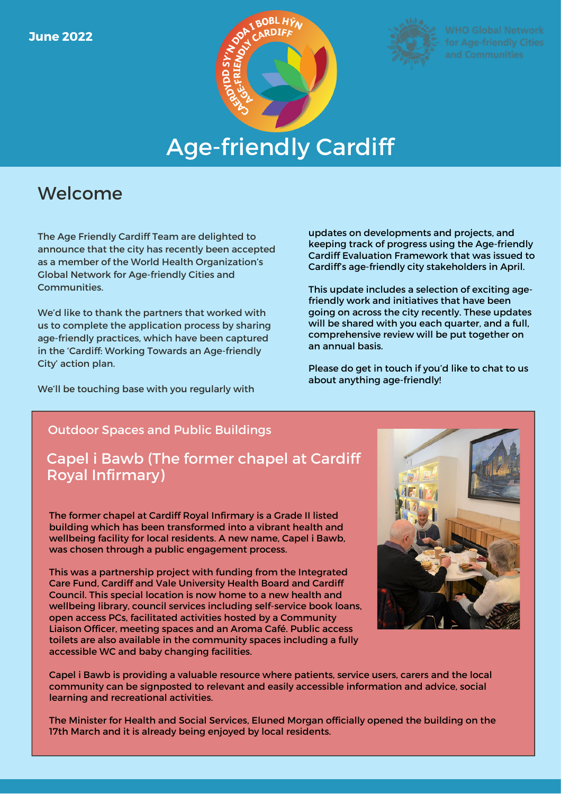



# Age-friendly Cardiff

## Welcome

The Age Friendly Cardiff Team are delighted to announce that the city has recently been accepted as a member of the World Health Organization's Global Network for Age-friendly Cities and Communities.

We'd like to thank the partners that worked with us to complete the application process by sharing age-friendly practices, which have been captured in the 'Cardiff: Working Towards an Age-friendly City' action plan.

We'll be touching base with you regularly with

updates on developments and projects, and keeping track of progress using the Age-friendly Cardiff Evaluation Framework that was issued to Cardiff's age-friendly city stakeholders in April.

This update includes a selection of exciting agefriendly work and initiatives that have been going on across the city recently. These updates will be shared with you each quarter, and a full, comprehensive review will be put together on an annual basis.

Please do get in touch if you'd like to chat to us about anything age-friendly!

#### Outdoor Spaces and Public Buildings

## Capel i Bawb (The former chapel at Cardiff Royal Infirmary)

The former chapel at Cardiff Royal Infirmary is a Grade II listed building which has been transformed into a vibrant health and wellbeing facility for local residents. A new name, Capel i Bawb, was chosen through a public engagement process.

This was a partnership project with funding from the Integrated Care Fund, Cardiff and Vale University Health Board and Cardiff Council. This special location is now home to a new health and wellbeing library, council services including self-service book loans, open access PCs, facilitated activities hosted by a Community Liaison Officer, meeting spaces and an Aroma Café. Public access toilets are also available in the community spaces including a fully accessible WC and baby changing facilities.



Capel i Bawb is providing a valuable resource where patients, service users, carers and the local community can be signposted to relevant and easily accessible information and advice, social learning and recreational activities.

The Minister for Health and Social Services, Eluned Morgan officially opened the building on the 17th March and it is already being enjoyed by local residents.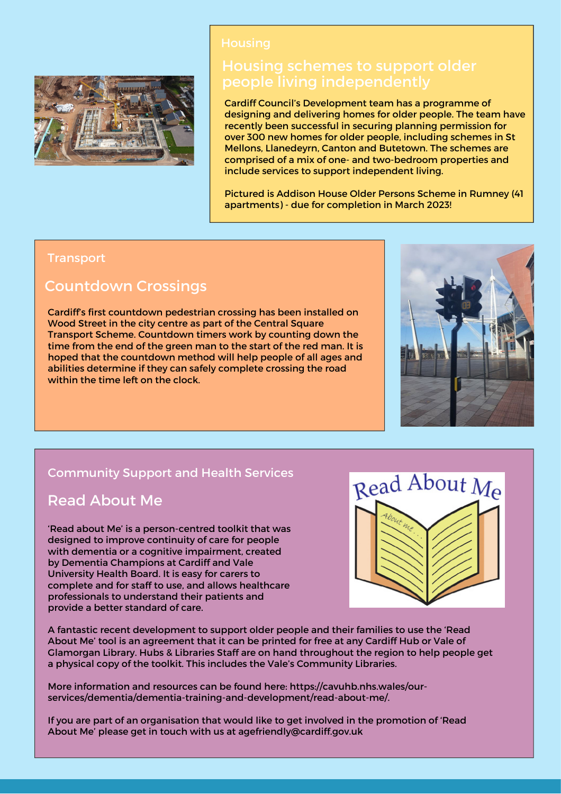

Cardiff Council's Development team has a programme of designing and delivering homes for older people. The team have recently been successful in securing planning permission for over 300 new homes for older people, including schemes in St Mellons, Llanedeyrn, Canton and Butetown. The schemes are comprised of a mix of one- and two-bedroom properties and include services to support independent living.

Pictured is Addison House Older Persons Scheme in Rumney (41 apartments) - due for completion in March 2023!

#### **Transport**

### Countdown Crossings

Cardiff's first countdown pedestrian crossing has been installed on Wood Street in the city centre as part of the Central Square Transport Scheme. Countdown timers work by counting down the time from the end of the green man to the start of the red man. It is hoped that the countdown method will help people of all ages and abilities determine if they can safely complete crossing the road within the time left on the clock.



#### Community Support and Health Services

### Read About Me

'Read about Me' is a person-centred toolkit that was designed to improve continuity of care for people with dementia or a cognitive impairment, created by Dementia Champions at Cardiff and Vale University Health Board. It is easy for carers to complete and for staff to use, and allows healthcare professionals to understand their patients and provide a better standard of care.



A fantastic recent development to support older people and their families to use the 'Read About Me' tool is an agreement that it can be printed for free at any Cardiff Hub or Vale of Glamorgan Library. Hubs & Libraries Staff are on hand throughout the region to help people get a physical copy of the toolkit. This includes the Vale's Community Libraries.

More information and resources can be found here: https://cavuhb.nhs.wales/ourservices/dementia/dementia-training-and-development/read-about-me/.

If you are part of an organisation that would like to get involved in the promotion of 'Read About Me' please get in touch with us at agefriendly@cardiff.gov.uk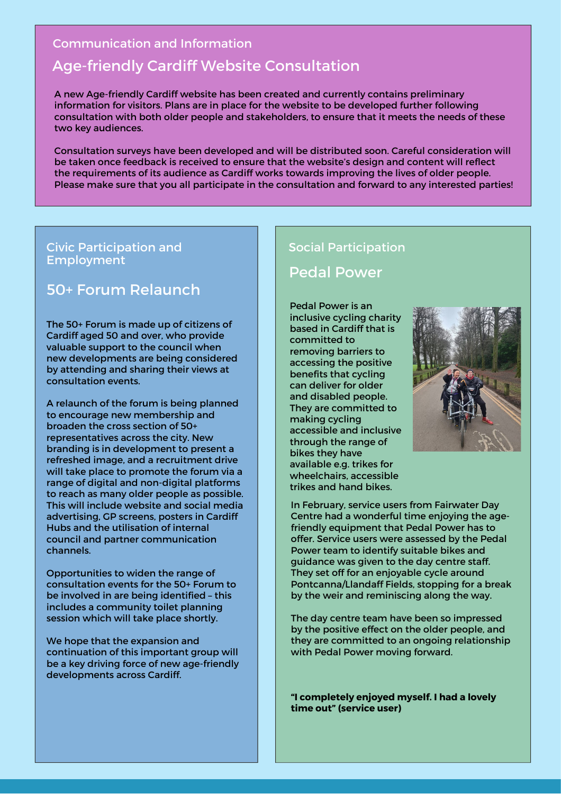#### Communication and Information

## Age-friendly Cardiff Website Consultation

A new Age-friendly Cardiff website has been created and currently contains preliminary information for visitors. Plans are in place for the website to be developed further following consultation with both older people and stakeholders, to ensure that it meets the needs of these two key audiences.

Consultation surveys have been developed and will be distributed soon. Careful consideration will be taken once feedback is received to ensure that the website's design and content will reflect the requirements of its audience as Cardiff works towards improving the lives of older people. Please make sure that you all participate in the consultation and forward to any interested parties!

#### Civic Participation and Employment

## 50+ Forum Relaunch

The 50+ Forum is made up of citizens of Cardiff aged 50 and over, who provide valuable support to the council when new developments are being considered by attending and sharing their views at consultation events.

A relaunch of the forum is being planned to encourage new membership and broaden the cross section of 50+ representatives across the city. New branding is in development to present a refreshed image, and a recruitment drive will take place to promote the forum via a range of digital and non-digital platforms to reach as many older people as possible. This will include website and social media advertising, GP screens, posters in Cardiff Hubs and the utilisation of internal council and partner communication channels.

Opportunities to widen the range of consultation events for the 50+ Forum to be involved in are being identified – this includes a community toilet planning session which will take place shortly.

We hope that the expansion and continuation of this important group will be a key driving force of new age-friendly developments across Cardiff.

#### Social Participation

#### Pedal Power

Pedal Power is an inclusive cycling charity based in Cardiff that is committed to removing barriers to accessing the positive benefits that cycling can deliver for older and disabled people. They are committed to making cycling accessible and inclusive through the range of bikes they have available e.g. trikes for wheelchairs, accessible trikes and hand bikes.



In February, service users from Fairwater Day Centre had a wonderful time enjoying the agefriendly equipment that Pedal Power has to offer. Service users were assessed by the Pedal Power team to identify suitable bikes and guidance was given to the day centre staff. They set off for an enjoyable cycle around Pontcanna/Llandaff Fields, stopping for a break by the weir and reminiscing along the way.

The day centre team have been so impressed by the positive effect on the older people, and they are committed to an ongoing relationship with Pedal Power moving forward.

**"I completely enjoyed myself. I had a lovely time out" (service user)**